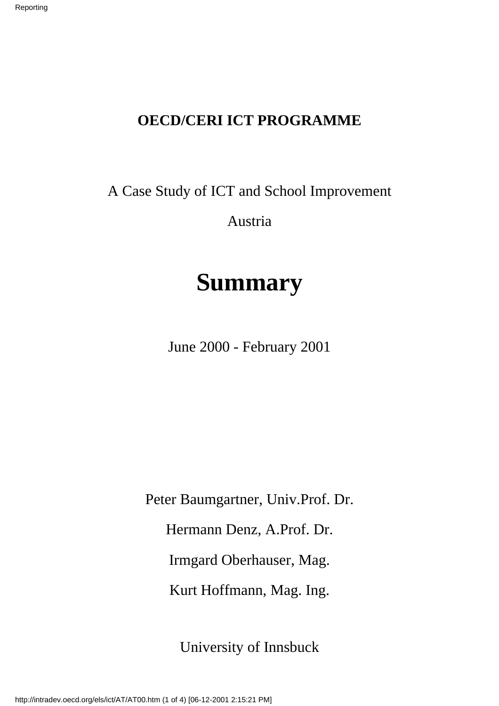## **OECD/CERI ICT PROGRAMME**

A Case Study of ICT and School Improvement

Austria

# **Summary**

June 2000 - February 2001

Peter Baumgartner, Univ.Prof. Dr. Hermann Denz, A.Prof. Dr. Irmgard Oberhauser, Mag. Kurt Hoffmann, Mag. Ing.

University of Innsbuck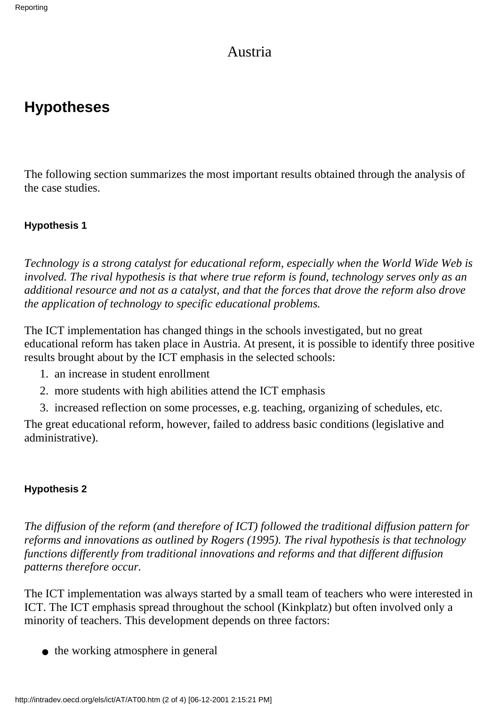### Austria

# **Hypotheses**

The following section summarizes the most important results obtained through the analysis of the case studies.

#### **Hypothesis 1**

*Technology is a strong catalyst for educational reform, especially when the World Wide Web is involved. The rival hypothesis is that where true reform is found, technology serves only as an additional resource and not as a catalyst, and that the forces that drove the reform also drove the application of technology to specific educational problems.*

The ICT implementation has changed things in the schools investigated, but no great educational reform has taken place in Austria. At present, it is possible to identify three positive results brought about by the ICT emphasis in the selected schools:

- 1. an increase in student enrollment
- 2. more students with high abilities attend the ICT emphasis
- 3. increased reflection on some processes, e.g. teaching, organizing of schedules, etc.

The great educational reform, however, failed to address basic conditions (legislative and administrative).

#### **Hypothesis 2**

*The diffusion of the reform (and therefore of ICT) followed the traditional diffusion pattern for reforms and innovations as outlined by Rogers (1995). The rival hypothesis is that technology functions differently from traditional innovations and reforms and that different diffusion patterns therefore occur.*

The ICT implementation was always started by a small team of teachers who were interested in ICT. The ICT emphasis spread throughout the school (Kinkplatz) but often involved only a minority of teachers. This development depends on three factors:

• the working atmosphere in general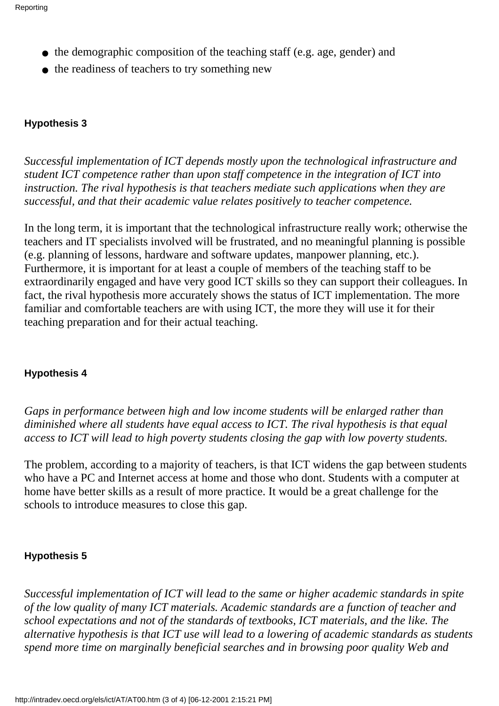- the demographic composition of the teaching staff (e.g. age, gender) and
- the readiness of teachers to try something new

#### **Hypothesis 3**

*Successful implementation of ICT depends mostly upon the technological infrastructure and student ICT competence rather than upon staff competence in the integration of ICT into instruction. The rival hypothesis is that teachers mediate such applications when they are successful, and that their academic value relates positively to teacher competence.*

In the long term, it is important that the technological infrastructure really work; otherwise the teachers and IT specialists involved will be frustrated, and no meaningful planning is possible (e.g. planning of lessons, hardware and software updates, manpower planning, etc.). Furthermore, it is important for at least a couple of members of the teaching staff to be extraordinarily engaged and have very good ICT skills so they can support their colleagues. In fact, the rival hypothesis more accurately shows the status of ICT implementation. The more familiar and comfortable teachers are with using ICT, the more they will use it for their teaching preparation and for their actual teaching.

#### **Hypothesis 4**

*Gaps in performance between high and low income students will be enlarged rather than diminished where all students have equal access to ICT. The rival hypothesis is that equal access to ICT will lead to high poverty students closing the gap with low poverty students.*

The problem, according to a majority of teachers, is that ICT widens the gap between students who have a PC and Internet access at home and those who don t. Students with a computer at home have better skills as a result of more practice. It would be a great challenge for the schools to introduce measures to close this gap.

#### **Hypothesis 5**

*Successful implementation of ICT will lead to the same or higher academic standards in spite of the low quality of many ICT materials. Academic standards are a function of teacher and school expectations and not of the standards of textbooks, ICT materials, and the like. The alternative hypothesis is that ICT use will lead to a lowering of academic standards as students spend more time on marginally beneficial searches and in browsing poor quality Web and*